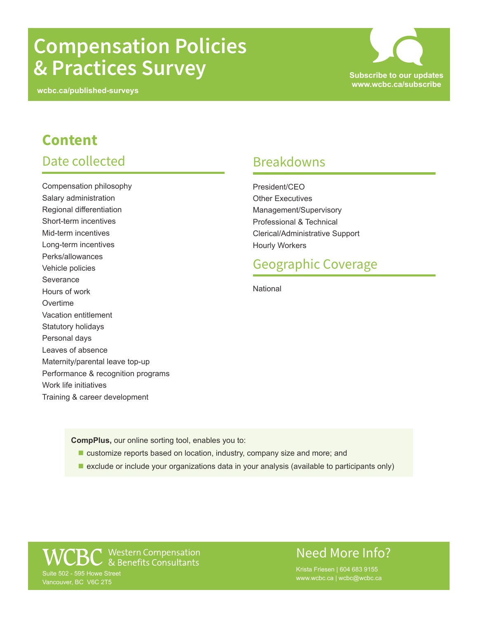# **Compensation Policies & Practices Survey Subscribe to our updates**

**wcbc.ca/published-surveys**

**www.wcbc.ca/subscribe** SC

### **Content** Date collected

Compensation philosophy Salary administration Regional differentiation Short-term incentives Mid-term incentives Long-term incentives Perks/allowances Vehicle policies **Severance** Hours of work **Overtime** Vacation entitlement Statutory holidays Personal days Leaves of absence Maternity/parental leave top-up Performance & recognition programs Work life initiatives Training & career development

#### Breakdowns

President/CEO Other Executives Management/Supervisory Professional & Technical Clerical/Administrative Support Hourly Workers

#### Geographic Coverage

**National** 

**CompPlus,** our online sorting tool, enables you to:

- customize reports based on location, industry, company size and more; and
- **E** exclude or include your organizations data in your analysis (available to participants only)

▼ Western Compensation<br>つ & Benefits Consultants Suite 502 - 595 Howe Street Vancouver, BC V6C 2T5

#### Need More Info?

Krista Friesen | 604 683 9155 www.wcbc.ca | wcbc@wcbc.ca